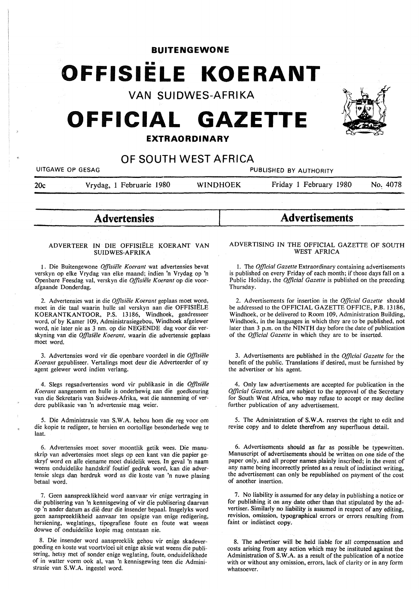**BUITENGEWONE** 

# •• **OFFISIELE KOERANT**

**VAN SUIDWES-AFRIKA** 

## **OFFICIAL GAZETTE EXTRAORDINARY**



### **OF SOUTH WEST AFRICA**

| UITGAWE OP GESAG |                          | PUBLISHED BY AUTHORITY |                        |          |
|------------------|--------------------------|------------------------|------------------------|----------|
| 20c              | Vrydag, 1 Februarie 1980 | <b>WINDHOEK</b>        | Friday 1 February 1980 | No. 4078 |
|                  |                          |                        |                        |          |

**Advertensies** 

#### ADVERTEER IN DIE OFFISIELE KOERANT VAN **SUIDWES-AFRIKA**

1. Die Buitengewone Offisiële Koerant wat advertensies bevat verskyn op elke Vrydag van elke maand; indien 'n Vrydag op 'n Openbare Feesdag val, verskyn die *Offisiele Koerant* op die voorafgaande Donderdag.

2. Advertensies wat in die *Offisiele Koerant* geplaas moet word, moet in die taal waarin hulle sal verskyn aan die OFFISIELE KOERANTKANTOOR, P.S. 13186, Windhoek, geadresseer word, of by Kamer 109, Administrasiegebou, Windhoek afgelewer word, nie later nie as 3 nm. op die NEGENDE dag voor die verskyning van die *Offisiele Koerant,* waarin die advertensie geplaas moet word.

3. Advertensies word vir die openbare voordeel in die *Offisiele Koerant* gepubliseer. Vertalings moet deur die Adverteerder of sy agent gelewer word indien verlang.

4. Slegs regsadvertensies word vir publikasie in die *Offisiele Koerant* aangeneem en hulle is onderhewig aan die goedkeuring van die Sekretaris van Suidwes-Afrika, wat die aanneming of verdere publikasie van 'n advertensie mag weier.

5. Die Administrasie van S.W.A. behou horn die reg voor om die kopie te redigeer, te hersien en oortollige besonderhede weg te laat.

6. Advertensies moet sover moontlik getik wees. Die manuskrip van advertensies moet slegs op een kant van die papier geskryf word en alle eiename moet duidelik wees. In geval 'n naam weens onduidelike handskrif foutief gedruk word, kan die advertensie slegs dan herdruk word as die koste van 'n nuwe plasing betaal word.

7. Geen aanspreeklikheid word aanvaar vir enige vertraging in die publisering van 'n kennisgewing of vir die publisering daarvan op 'n ander datum as die deur die insender bepaal. Insgelyks word geen aanspreeklikheid aanvaar ten opsigte van enige redigering, hersiening, weglatings, tipografiese foute en foute wat weens dowwe of onduidelike kopie mag ontstaan nie.

8. Die insender word aanspreeklik gehou vir enige skadevergoeding en koste wat voortvloei uit enige aksie wat weens die publisering, hetsy met of sonder enige weglating, foute, onduidelikhede of in watter vorm ook al, van 'n kennisgewing teen die Administrasie van **S.W.A.** ingestel word.

#### ADVERTISING IN THE OFFICIAL GAZETTE OF SOUTH WEST AFRICA

**Advertisements** 

I. The *Official Gazette* Extraordinary containing advertisements is published on every Friday of each month; if those days fall on a Public Holiday, the *Official Gazette* is published on the preceding Thursday.

2. Advertisements for insertion in the *Official Gazette* should be addressed to the OFFICIAL GAZETTE OFFICE, P.B. 13186, Windhoek, or be delivered to Room 109, Administration Building, Windhoek, in the languages in which they are to be published, not later than 3 p.m. on the **NINTH** day before the date of publication of the *Official Gazette* in which they are to be inserted.

3. Advertisements are published in the *Official Gazette* for the benefit of the public. Translations if desired, must be furnished by the advertiser or his agent.

4. Only law advertisements are accepted for publication in the *Official Gazette,* and are subject to the approval of the Secretary for South West Africa, who may refuse to accept or may decline further publication of any advertisement.

5. The Administration of **S.W.A.** reserves the right to edit and revise copy and to delete therefrom any superfluous detail.

6. Advertisements should as far as possible be typewritten. Manuscript of advertisements should be written on one side of the paper only, and all proper names plainly inscribed; in the event of any name being incorrectly printed as a result of indistinct writing, the advertisement can only be republished on payment of the cost of another insertion.

7. No liability is assumed for any delay in publishing a notice or for publishing it on any date other than that stipulated by the advertiser. Similarly no liability is assumed in respect of any editing, revision, omission, typographical errors or errors resulting from faint or indistinct copy.

8. The advertiser will be held liable for all compensation and costs arising from any action which may be instituted against the Administration of S.W.A. as a result of the publication of a notice with or without any omission, errors, lack of clarity or in any form whatsoever.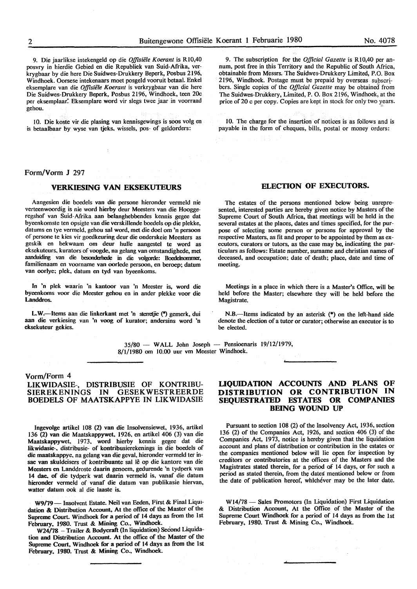9. Die jaarlikse intekengeld op die *Offisiele Koerant* is Rl0,40 posvry in hierdie Gebied en die Republiek van Suid-Afrika, verkrygbaar by die here Die Suidwes-Drukkery Beperk, Posbus 2196, Windhoek. Oorsese intekenaars moet posgeld vooruit betaal. Enkel eksemplare van die *Offisiele Koerant* is verkrygbaar van die here Die Suidwes-Drukkery Beperk, Posbus 2196, Windhoek, teen 20c per eksemplaar: Eksemplare word vir slegs twee jaar in voorraad gehou.

10. Die koste vir die plasing van kennisgewings is soos volg en is betaalbaar by wyse van tjeks, wissels, pos- of geldorders:

9. The subscription for the *Official Gazette* is Rl0,40 per annum, post free in this Territory and the Republic of South Africa, obtainable from Messrs. The Suidwes-Drukkery Limited, P.O. Box 2196, Windhoek. Postage must be prepaid by overseas subscribers. Single copies of the *Official Gazette* may be obtained from The Suidwes-Drukkery, Limited, P. 0. Box 2196, Windhoek, at the price of 20 c per copy. Copies are kept in stock for only two years.

10. The charge for the insertion of notices is as follows and is payable in the form of cheques, bills, postal or money orders:

#### Form/Vorm **J** 297

#### **VERKIBSING VAN EKSEKUTEURS**

Aangesien die boedels van die persone hieronder vermeld nie verteenwoordig is nie word hierby deur Meesters van die Hooggeregshof van Suid-Afrika aan belanghebbendes kennis gegee dat byeenkomste ten opsigte van die verskillende boedels op die plekke, datums en tye vermeld, gehou sal word, met die doel om 'n persoon of persone te kies vir goedkeuring deur die onderskeie Meesters as geskik en bekwaam om deur hulle aangestel te word as eksekuteurs, kurators ofvoogde, na gelang van omstandighede, met aanduiding van die besonderhede in die volgorde: Boedelnommer, familienaam en voorname van oorlede persoon, en beroep; datum van oorlye; plek, datum en tyd van byeenkoms.

In 'n plek waarin 'n kantoor van 'n Meester is, word die byeenkoms voor die Meester gehou en in ander plekke voor die Landdros.

L.W.--Items aan die linkerkant met 'n sterretjie (\*) gemerk, dui aan die verkiesing van 'n voog of kurator; andersins word 'n eksekuteur gekies.

#### **ELECTION OF EXECUTORS.**

The estates of the persons mentioned below being unrepresented, interested parties are hereby given notice by Masters of the Supreme Court of South Africa, that meetings will be held in the several estates at the places, dates and times specified, for the purpose of selecting some person or persons for approval by the respective Masters, as fit and proper to be appointed by them as executors, curators or tutors, as the case may be, indicating the particulars as follows: Estate number, surname and christian names of deceased, and occupation; date of death; place, date and time of meeting.

Meetings in a place in which there is a Master's Office, will be held before the Master; elsewhere they will be held before the Magistrate.

N.B.--Items indicated by an asterisk (\*) on the left-hand side denote the election of a tutor or curator; otherwise an executor is to be elected.

 $35/80$  - WALL John Joseph - Pensioenaris  $19/12/1979$ , 8/1/1980 om 10.00 uur vm Meester Windhoek.

#### Vorm/Form 4

#### LIKWIDASIE-, DISTRIBUSIE OF KONTRIBU-SIEREKENINGS IN GESEKWESTREERDE BOEDELS OF MAATSKAPPYE IN LIKWIDASIE

Ingevolge artikel 108 (2) van die Insolvensiewet, 1936, artikel 136 (2) van die Maatskappywet, 1926, en artikel 406 (3) van die Maatskappywet, 1973, word hierby kennis gegee dat die likwidasie-, distribusie- of kontribusierekenings in die boedels of die maatskappye, na gelang van die geval, hieronder vermeld ter insae van skuldeisers of kontribuante sal le op die kantore van die Meesters en Landdroste daarin genoem, gedurende 'n tydperk van 14 dae, of die tydperk wat daarin vermeld is, vanaf die datum hieronder vermeld of vanaf die datum van publikasie hiervan, watter datum ook al die laaste is.

W9/79- Insolvent Estate. Neil van Eeden, First & Final Liquidation & Distribution Account, At the office of the Master of the Supreme Court. Windhoek for a period of 14 days as from the 1st February. 1980. Trust & Mining Co., Windhoek.

W24/18 - Trailer & Bodycraft (In liquidation) Second Liquidation and Distribution Account. At the office of the Master of the Supreme Court, Windhoek for a period of 14 days as from the 1st February, 1980. Trust & Mining Co., Windhoek.

#### **LIQUIDATION ACCOUNTS AND PLANS OF DISTRIBUTION OR CONTRIBUTION IN SEQUESTRATED ESTATES OR COMPANIES BEING WOUND UP**

Pursuant to section 108 (2) of the Insolvency Act, 1936, section 136 (2) of the Companies Act, 1926, and section 406 (3) of the Companies Act, 1973, notice is hereby given that the liquidation account and plans of distribution or contribution in the estates or the companies mentioned below will lie open for inspection by creditors or contributories at the offices of the Masters and the Magistrates stated therein, for a period of 14 days, or for such a period as stated therein, from the dates mentioned below or from the date of publication hereof, whichever may be the later date.

W14/78 - Sales Promotors (In Liquidation) First Liquidation & Distribution Account, At the Office of the Master of the Supreme Court Windhoek for a period of 14 days as from the 1st February, 1980. Trust & Mining Co., Windhoek.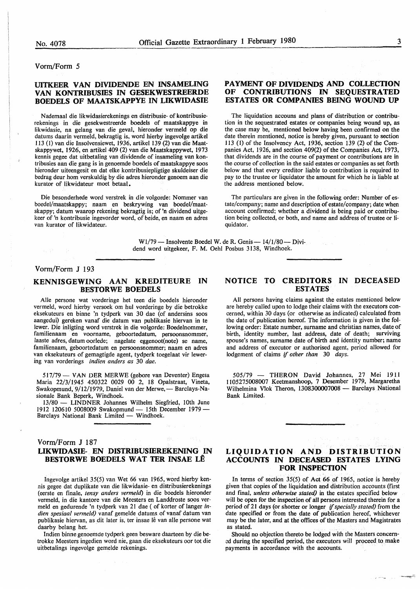#### Vorm/Form 5

#### UITKEER VAN DIVIDENDE EN INSAMELING **VAN KONTRIBUSIES** IN **GESEKWESTREERDE BOEDELS OF MAATSKAPPYE IN LIKWIDASIE**

N ademaal die likwidasierekenings en distribusie- of kontribusierekenings in die gesekwestreerde boedels of maatskappye in likwidasie, na gelang van die geval, hieronder vermeld op die datums daarin vermeld, bekragtig is, word hierby ingevolge artikel I 13 (1) van die Insolvensiewet, 1936, artikel 139 (2) van die Maatskappywet, 1926, en artikel 409 (2) van die Maatskappywet, 1973 kennis gegee dat uitbetaling van dividende of insameling van kontribusies aan die gang is in genoemde boedels of maatskappye soos hieronder uiteengesit en dat elke kontribusiepligtige skuldeiser die bedrag deur horn verskuldig by die adres hieronder genoem aan die kurator of likwidateur moet betaal.

Die besonderhede word verstrek in die volgorde: Nommer van boedel/maatskappy; naam en beskrywing van boedel/maatskappy; datum waarop rekening bekragtig is; of 'n dividend uitgekeer of 'n kontribusie ingevorder word, of beide, en naam en adres van kurator of likwidateur.

#### **PAYMENT OF DIVIDENDS AND COLLECTION OF CONTRIBUTIONS** IN **SEQUESTRATED ESTATES OR COMPANIES BEING WOUND UP**

The liquidation accouns and plans of distribution or contribution in the sequestrated estates or companies being wound up, as the case may be, mentioned below having been confirmed on the date therein mentioned, notice is hereby given, pursuant to section 113 (I) of the Insolvency Act, 1936, section 139 (2) of the Companies Act, 1926, and section 409(2) of the Companies Act, 1973, that dividends are in the course of payment or contributions are in the course of collection in the said estates or companies as set forth below and that every creditor liable to contribution is required to pay to the trustee or liquidator the amount for which he is liable at the address mentioned below.

The particulars are given in the following order: Number of estate/company; name and description of estate/company; date when account confirmed; whether a dividend is being paid or contribution being collected, or both, and name and address of trustee or liquidator.

W1/79 - Insolvente Boedel W. de R. Genis - 14/1/80 - Dividend word uitgekeer, F. **M.** Oehl Posbus 3138, Windhoek.

#### Vorm/Form J 193

#### **KENNISGEWING AAN KREDITEURE IN BESTORWE BOEDELS**

Alie persone wat vorderinge het teen die boedels hieronder vermeld, word hierby versoek om hul vorderinge by die betrokke eksekuteurs en binne 'n tydperk van 30 dae (of andersins soos aangedui) gereken vanaf die datum van publikasie hiervan in te !ewer. Die inligting word verstrek in die volgorde: Boedelnommer, familienaam en voorname, geboortedatum, persoonsnommer, laaste adres, datum oorlede; nagelate eggenoot(note) se name, familienaam, geboortedatum en persoonsnommer; naam en adres van eksekuteurs of gemagtigde agent, tydperk toegelaat vir lewering van vorderings *indien anders as* 30 *dae.* 

517/79 - VAN DER MERWE (gebore van Deventer) Engela Maria 22/3/1945 450322 0029 00 2, 18 Opalstraat, Vineta, Swakopmund, 9/12/1979, Daniel van der Merwe, - Barclays-Nasionale Bank Beperk, Windhoek.

13/80 - LINDNER Johannes Wilhelm Siegfried, 10th June 1912 120610 5008009 Swakopmund - 15th December 1979 -Barclays National Bank Limited - Windhoek.

#### Vorm/Form J 187

#### **LIKWIDASIE- EN DISTRIBUSIBREKENING IN BESTORWE BOEDELS WAT TER INSAE LE**

Ingevolge artikel 35(5) van Wet 66 van 1965, word hierby kennis gegee dat duplikate van die likwidasie- en distribusierekenings (eerste en finale, *tensy anders vermeld)* in die boedels hieronder vermeld, in die kantore van die Meesters en Landdroste soos vermeld en gedurende 'n tydperk van 21 dae ( of korter of !anger *indien spesiaal vermeld)* vanaf gemelde datums of vanaf datum van publikasie hiervan, as dit later is, ter insae lê van alle persone wat daarby belang het.

Indien binne genoemde tydperk geen besware daarteen by die betrokke Meesters ingedien word nie, gaan die eksekuteurs oor tot die uitbetalings ingevolge gemelde rekenings.

#### **NOTICE TO CREDITORS IN DECEASED ESTATES**

All persons having claims against the estates mentioned below are hereby called upon to lodge their claims with the executors concerned, within 30 days (or otherwise as indicated) calculated from the date of publication hereof. The information is given in the following order: Estate number, surname and christian names, date of birth, identity number, last address, date of death; surviving spouse's names, surname date of birth and identity number; name and address of executor or authorised agent, period allowed for lodgement of claims if *other than* 30 *days.* 

505/79 - THERON David Johannes, 27 Mei 1911 1105275008007 Keetmanshoop, 7 Desember 1979, Margaretha Wilhelmina Vlok Theron, 1308300007008 - Barclays National Bank Limited.

#### **LIQUIDATION AND DISTRIBUTION ACCOUNTS IN DECEASED ESTATES LYING FOR INSPECTION**

In terms of section 35(5) of Act 66 of 1965, notice is hereby given that copies of the liquidation and distribution accounts (first and final, *unless otherwise stated)* in the estates specified below will be open for the inspection of all persons interested therein for a period of 21 days (or shorter or longer if *specially stated)* from the date specified or from the date of publication hereof, whichever may be the later, and at the offices of the Masters and Magistrates as stated.

Should no objection thereto be lodged with the Masters concem ed during the specified period, the executors will proceed to make payments in accordance with the accounts.

~~:-',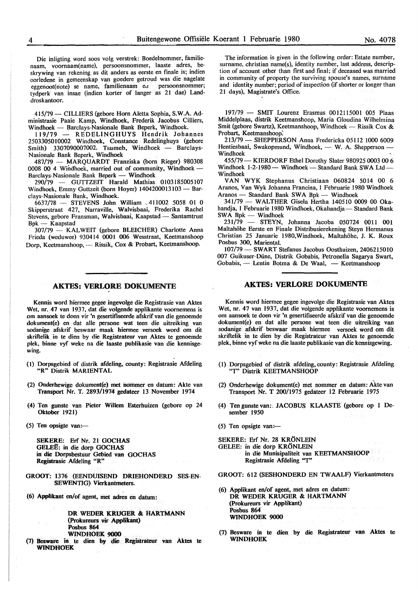Die inligting word soos volg verstrek: Boedelnommer, familienaam, voomaam(name), persoonsnommer, laaste adres, beskrywing van rekening as dit anders as eerste en finale is; indien oorledene in gemeenskap van goedere getroud was die nagelate eggenoot(note) se name, familienaam e<sub>1</sub> persoonsnommer; tydperk van insae (indien korter of langer as 21 dae) Landdroskantoor.

415/79 - CILLIERS (gebore Horn Aletta Sophia, S.W.A. Administrasie Paaie Kamp, Windhoek, Frederik Jacobus Cilliers, Windhoek - Barclays-Nasionale Bank Beperk, Windhoek.

119/79 - REDELINGHUYS Hendrik Johannes 2503305010002 Windhoek, Constance Redelinghuys (gebore Smith) 3307090007002. Tsumeb, Windhoek  $-$  Barclays-Nasionale Bank Beperk, Windhoek

487/79 - MAROUARDT Franziska (born Rieger) 980308 0008 00 4 Windhoek, married out of community, Windhoek - Barclays-Nasionale Bank Beperk - Windhoek

290/79 - GUTTZEIT Harald Mathias 0103185005107 Windhoek, Emmy Guttzeit (born Hoyer) 1404200013103 - Barclays-Nasionale Bank, Windhoek.

6637/78 - STEVENS John William 411002 5058 01 0 Skipperstraat 427, Narraville, Walvisbaai, Frederika Rachel Stevens, gebore Fransman, Walvisbaai, Kaapstad - Santamtrust  $Bpk$  - Kaapstad

307/79 - KALWEIT (gebore BLEICHER) Charlotte Anna Frieda (weduwee) 930414 0001 006 Wesstraat, Keetmanshoop Dorp, Keetmanshoop, - Rissik, Cox & Probart, Keetmanshoop.

#### **AKTES: VERLORE DOKUMENTE** '

Kennis word hiermee gegee ingevolge die Registrasie van Aktes Wet, nr. 47 van 1937, dat die volgende applikante voomemens is om aansoek te doen vir 'n gesertifiseerde afskrif van die genoemde dokument(e) en dat alle persone wat teen die uitreiking van sodanige afskrif beswaar maak hiermee versoek word om dit skriftelik in te dien by die Registrateur van Aktes te genoemde plek, binne vyf weke na die laaste publikasie van die kennisgewing.

- (1) Dorpsgebied of distrik afdeling, county: Registrasie Afdeling **"R"** Distrik **MARIENTAL**
- (2) Onderhewige dokument(e) met nommer en datum: Akte van Transport Nr. T. 2893/1974 gedateer 13 November 1974
- (4) Ten gunste van Pieter Willem Esterhuizen (gebore op 24 Oktober 1921)
- (5) Ten opsigte vam-

SEKERE: Erf Nr. 21 **GOCHAS GELEE:** in die dorp **GOCHAS in die** Dorpsbestuur Gebied **van GOCHAS Registrasie** Afdeling **"R"** 

- **GROOT:** 1376 **(EENDUISEND DRIEHONDERD SES-EN-SEWENTIG) Vierkantmeters.**
- **(6) Appfikant** en/of agent, **met adres en** datum:

**DR WEDER KRUGER & HARTMANN (Prokureurs vir Applikant) Posbus 864 WINDHOEK 9000** 

**(7) Besware** in **te dien by die Registrateur van Aktes te WINDHOEK** 

The information is given in the following order: Estate number, surname, christian name(s), identity number, last address, description of account other than first and final; if deceased was married in community of property the surviving spouse's names, surname and identity number; period of inspection (if shorter or longer than 21 days), Magistrate's Office.

197/79 - **SMIT** Lourenz Erasmus 0012115001 005 Plaas Middelplaas, distrik Keetmanshoop, Maria Gloudina Wilhelmina Smit (gebore Swartz), Keetmanshoop, Windhoek - Rissik Cox & Probart, Keetmanshoop:

213/79 - **SHEPPERSON** Anna Fredericka 05112 1000 6009 Hentiesbaai, Swakopmund, Windhoek, - W. A. Shepperson -Windhoek

455/79 - KIERDORF Ethel Dorothy Slater 980925 0003 00 6 Windhoek 1-2-1980 - Windhoek - Standard Bank SWA Ltd-Windhoek

VAN WYK Stephanus Christiaan 060824 5014 00 6 Aranos, Van Wyk Johanna Francina, 1 Februarie 1980 Windhoek Aranos - Standard Bank SWA Bpk - Windhoek

341/79 - WALTHER Gisela Hertha 140510 0009 00 Okahandja, 1 Februarie 1980 Windhoek, Okahandja - Standard Bank  $SWA$  Bpk  $-$  Windhoek

231/79 - STEYN, Johanna Jacoba 050724 0011 001 Maltahöhe Eerste en Finale Distribusierekening Steyn Hermanus Christian 25 Januarie 1980,Windhoek, Maltahohe, J. K. Roux Posbus 300, Mariental.

107/79- **SWART** Stefanus Jacobus Oosthuizen, 2406215010 007 Guikuser-Diine, Distrik Gobabis, Petronella Sagarya Swart, Gobabis, - Lentin Botma & De Waal, - Keetmanshoop

#### **AKTES: VERLORE DOKUMENTE**

Kennis word hiermee gegee ingevolge die Registrasie van Aktes Wet, nr. 47 van 1937, dat die volgende applikante voomemens is om aansoek te doen vir 'n gesertifiseerde afskrif van die genoemde dokument(e) en dat alle persone wat teen die uitreiking van sodanige afskrif beswaar maak hiermee versoek word om dit skriftelik in te dien by die Registrateur van Aktes te genoemde plek, binne vyf weke na die laaste publikasie van die kennisgewing.

- (I) Dorpsgebied of distrik afdeling, county: Registrasie Afdeling *"T'* Distrik KEETMANSHOOP
- (2) Onderhewige dokument(e) met nommer en datum: Akte van Transport Nr. T 200/1975 gedateer 12 Februarie 1975
- (4) Ten gunste van:, JACOBUS KLAASTE (gebore op 1 Desember 1950
- (5) Ten opsigte van: $-$
- SEKERE: Erf Nr. 28 KRONLEIN
- GELEE: in die dorp KRONLEIN in die Munisipaliteit van KEETMANSHOOP
	- Registrasie Afdeling "T''
- GROOT: 612 (SESHONDERD EN TWAALF) Vierkantmeters
- (6) Applikant en/of agent, met adres en datum: DR WEDER KRUGER & HARTMANN (Prokureurs vir Applikant) Posbus 864 WINDHOEK 9000
- (7) Besware in te dien by die Registrateur van Aktes te WINDHOEK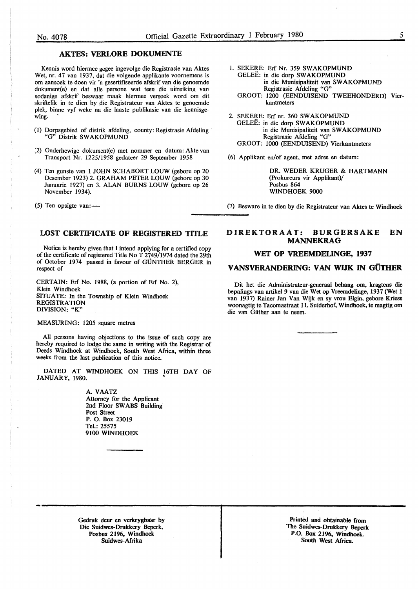#### **AKTES: VERLORE DOKUMENTE**

Kennis word hiermee gegee ingevolge die Registrasie van Aktes Wet, nr. 47 van 1937, dat die volgende applikante voomemens is om aansoek te doen vir 'n gesertifiseerde afskrif van die genoemde dokument(e) en dat alle persone wat teen die uitreiking van sodanige afskrif beswaar maak hiermee versoek word om dit skriftelik in te dien by die Registrateur van Aktes te genoemde plek, binne vyf weke na die laaste publikasie van die kennisgewing.

- (I) Dorpsgebied of distrik afdeling, county: Registrasie Afdeling "G" Distrik SW AKOPMUND
- (2) Onderhewige dokument(e) met nommer en datum: Akte van Transport Nr. 1225/1958 gedateer 29 September 1958
- (4) Ten gunste van 1 JOHN SCHABORT LOUW (gebore op 20 Desember 1923) 2. GRAHAM PETER LOUW (gebore op 30 Januarie 1927) en 3. ALAN BURNS LOUW (gebore op 26 November 1934).

(5) Ten opsigte van: $-$ 

#### **LOST CERTIFICATE OF REGISTERED** TITLE

Notice is hereby given that I intend applying for a certified copy of the certificate of registered Title No T 2749/1974 dated the 29th of October 1974 passed in favour of GUNTHER BERGER in respect of

CERTAIN: Erf No. 1988, (a portion of Erf No. 2), Klein Windhoek SITUATE: In the Township of Klein Windhoek **REGISTRATION DIVISION: "K"** 

#### MEASURING: 1205 square metres

All persons having objections to the issue of such copy are hereby required to lodge the same in writing with the Registrar of Deeds Windhoek at Windhoek, South West Africa, within three weeks from the last publication of this notice.

DATED AT WINDHOEK ON THIS 16TH DAY OF JANUARY, 1980.

> **A. VAATZ**  Attorney for the Applicant 2nd Floor SW ABS Building **Post Street**  P. 0. Box 23019 Tel.: 25575 **9100 WINDHOEK**

- 1. SEKERE: Erf Nr. 359 **SWAKOPMUND**  GELEE: in die dorp **SW AKOPMUND**  in die Munisipaliteit van **SW AKOPMUND**  Registrasie Afdeling "G" GROOT: 1200 (EENDUISEND TWEEHONDERD) Vier-
- 2. SEKERE: Erf nr. 360 SWAKOPMUND GELEE: in die dorp SWAKOPMUND in die Munisipaliteit van SWAKOPMUND Registrasie Afdeling "G" GROOT: 1000 (EENDUISEND) Vierkantmeters
- (6) Applikant en/of agent, met adres en datum:

kantmeters

DR. WEDER KRUGER & HARTMANN (Prokureurs vir Applikant)/ Posbus 864 WINDHOEK 9000

(7) Besware in te dien by die Registrateur van Aktes te Windhoek

#### **DIREKTORAAT: BURGERSAKE EN MANNEKRAG**

#### **WET OP VREEMDEUNGE, 1937**

#### **V ANSVERANDERING: VAN WDK** IN **GUTHER**

Dit het die Administrateur-generaal behaag om, kragtens die bepalings van artikel 9 van die Wet op Vreemdelinge, 1937 (Wet 1 van 1937) Rainer Jan Van Wijk en sy vrou Elgin, gebore Kriess woonagtig te Tacomastraat 11, Suiderhof, Windhoek, te magtig om die van Giither aan te neem.

Gedruk deur en verkrygbaar by Die Suidwes-Drukkery Beperk, Posbus 2196, Windhoek Suidwes-Afrika

Printed and obtainable from The Suidwes-Drukkery Beperk P.O. Box 2196, Windhoek. South West Africa.